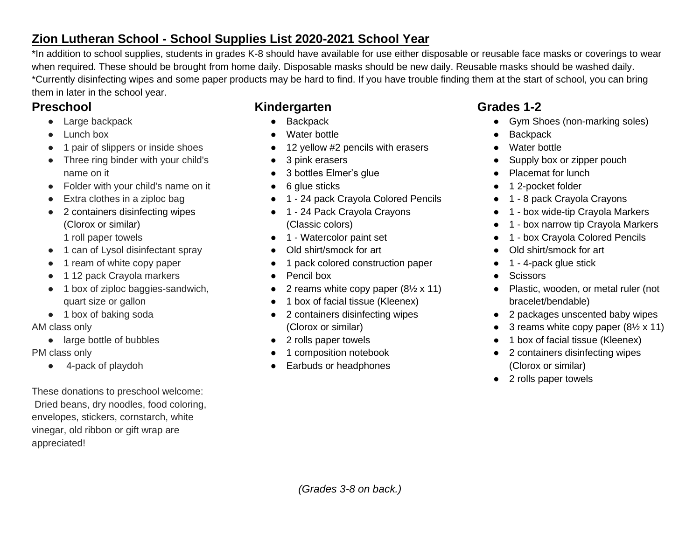## **Zion Lutheran School - School Supplies List 2020-2021 School Year**

\*In addition to school supplies, students in grades K-8 should have available for use either disposable or reusable face masks or coverings to wear when required. These should be brought from home daily. Disposable masks should be new daily. Reusable masks should be washed daily. \*Currently disinfecting wipes and some paper products may be hard to find. If you have trouble finding them at the start of school, you can bring them in later in the school year.

### **Preschool**

- Large backpack
- Lunch box
- 1 pair of slippers or inside shoes
- Three ring binder with your child's name on it
- Folder with your child's name on it
- Extra clothes in a ziploc bag
- 2 containers disinfecting wipes (Clorox or similar) 1 roll paper towels
- 1 can of Lysol disinfectant spray
- 1 ream of white copy paper
- 1 12 pack Crayola markers
- 1 box of ziploc baggies-sandwich, quart size or gallon
- 1 box of baking soda

#### AM class only

● large bottle of bubbles

#### PM class only

● 4-pack of playdoh

These donations to preschool welcome: Dried beans, dry noodles, food coloring, envelopes, stickers, cornstarch, white vinegar, old ribbon or gift wrap are appreciated!

# **Kindergarten**

- Backpack
- Water bottle
- 12 yellow #2 pencils with erasers
- 3 pink erasers
- 3 bottles Elmer's glue
- 6 glue sticks
- 1 24 pack Crayola Colored Pencils
- 1 24 Pack Crayola Crayons (Classic colors)
- 1 Watercolor paint set
- Old shirt/smock for art
- 1 pack colored construction paper
- Pencil box
- 2 reams white copy paper  $(8\frac{1}{2} \times 11)$
- 1 box of facial tissue (Kleenex)
- 2 containers disinfecting wipes (Clorox or similar)
- 2 rolls paper towels
- 1 composition notebook
- Earbuds or headphones

# **Grades 1-2**

- Gym Shoes (non-marking soles)
- Backpack
- Water bottle
- Supply box or zipper pouch
- Placemat for lunch
- 1 2-pocket folder
- 1 8 pack Crayola Crayons
- 1 box wide-tip Crayola Markers
- 1 box narrow tip Crayola Markers
- 1 box Crayola Colored Pencils
- Old shirt/smock for art
- $\bullet$  1 4-pack glue stick
- Scissors
- Plastic, wooden, or metal ruler (not bracelet/bendable)
- 2 packages unscented baby wipes
- 3 reams white copy paper  $(8\frac{1}{2} \times 11)$
- 1 box of facial tissue (Kleenex)
- 2 containers disinfecting wipes (Clorox or similar)
- 2 rolls paper towels